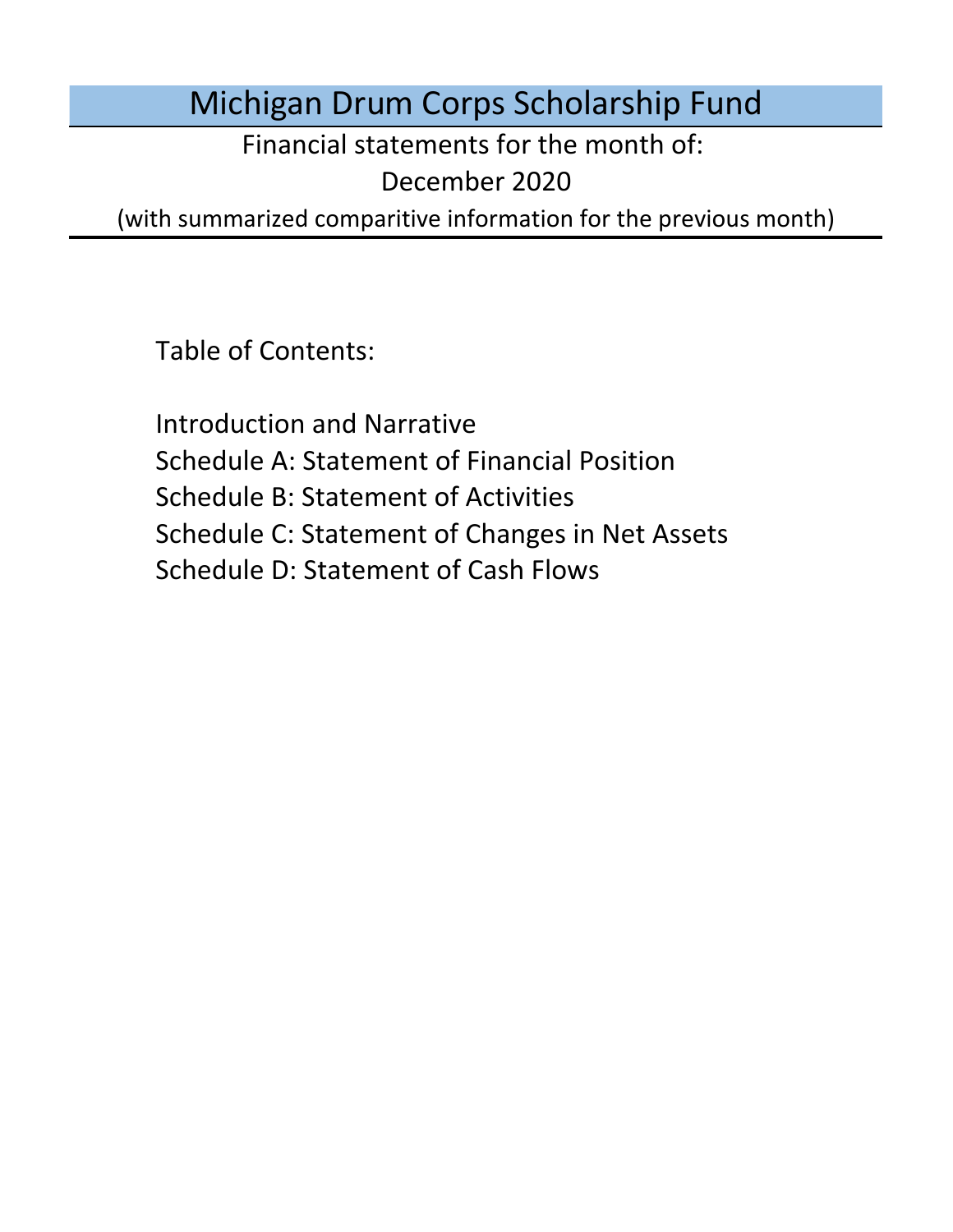Michigan Drum Corps Scholarship Fund

Financial statements for the month of:

December 2020

(with summarized comparitive information for the previous month)

Table of Contents:

Schedule D: Statement of Cash Flows Introduction and Narrative Schedule A: Statement of Financial Position Schedule B: Statement of Activities Schedule C: Statement of Changes in Net Assets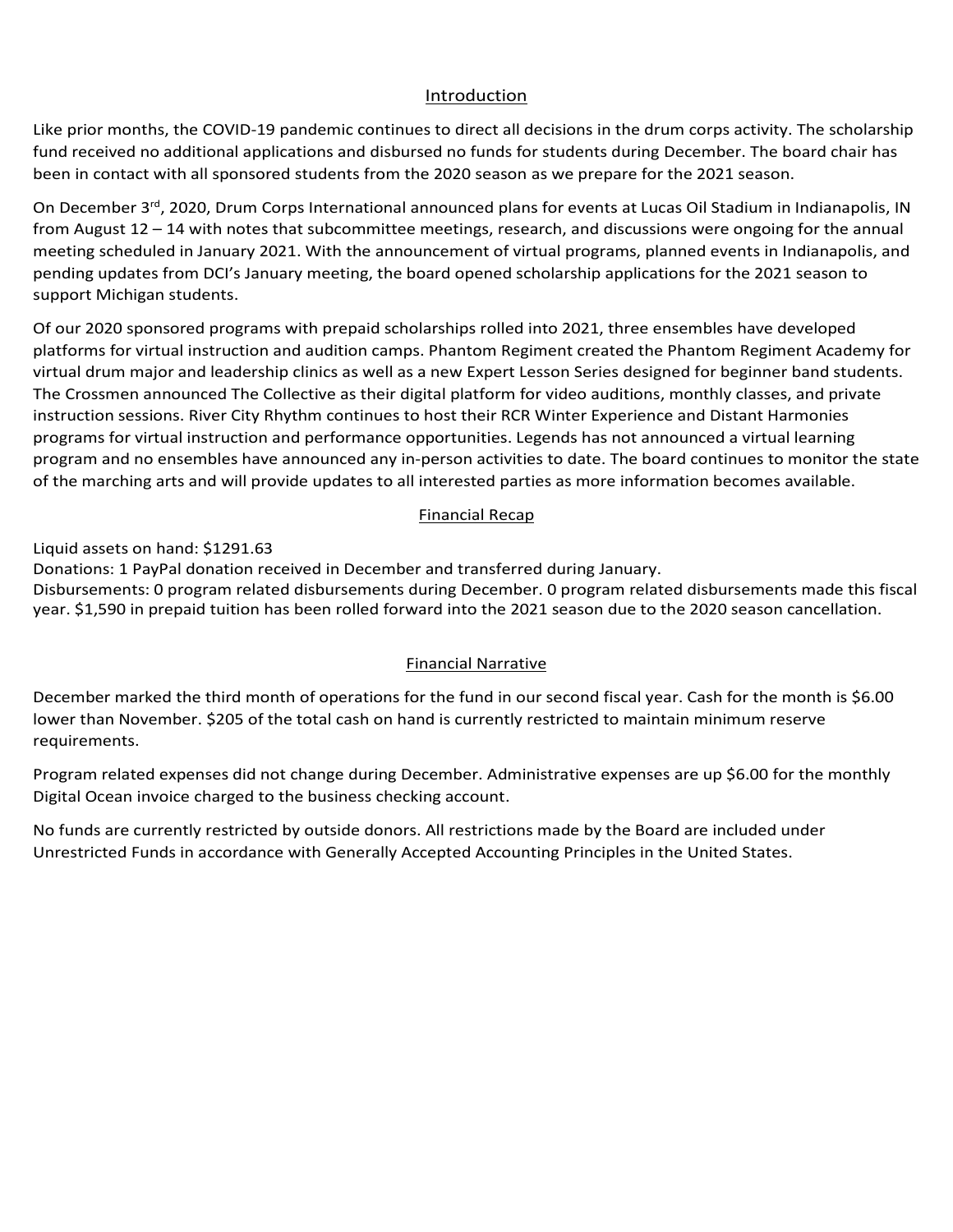## Introduction Introduction Introduction

Introduction<br>Like prior months, the COVID-19 pandemic continues to direct all decisions in the drum corps activity. The scholarship <u>Introduction</u><br>Like prior months, the COVID-19 pandemic continues to direct all decisions in the drum corps activity. The scholarship<br>fund received no additional applications and disbursed no funds for students during Dece been in contact with all sponsored students from the 2020 season as we prepare for the 2021 season.

On December 3<sup>rd</sup>, 2020, Drum Corps International announced plans for events at Lucas Oil Stadium in Indianapolis, IN from August 12 – 14 with notes that subcommittee meetings, research, and discussions were ongoing for the annua<br>meeting sale did alim language 2021. With the concernence of sixtuations are not almost depend in lading salis pending updates from DCI's Januar support Michigan students. The set of the set of the set of the set of the set of the set of the set of the set of the set of the set of the set of the set of the set of the set of the set of the set of the set of the set mom August 12 – 14 with notes that subcommittee meetings, research, and discussions were ongoing for the an<br>meeting scheduled in January 2021. With the announcement of virtual programs, planned events in Indianapoli<br>pendin from August 12 – 14 with notes that subcommittee meetings, research, and discussions were ongoing for the annual<br>meeting scheduled in January 2021. With the announcement of virtual programs, planned events in Indianapolis, penant, apadics nom Berssandary meeting, the soard opened senotarsinp applications for the LoL1 season to<br>support Michigan students  $\mathcal{O}(\mathcal{C})$  bugges concerns of a second wave of  $\mathcal{C}(\mathcal{C})$  and United States, the United States, the United States, the United States, the United States, the United States, the United States, the United States, the meeting scheudied in January 2021. With the announcement or virtual programs, planned events in mulanapolis,<br>nonding undates from DCl's January moeting the board anomal scholarship annlications for the 2021 second to pending apades hom ber standary meeting, the soard opened senoral sinp applications for the fort season to support Michigan students.  $\mathcal{O}$  a result,  $\mathcal{O}$  is a reconstruction support has been received as prepared as prepared tuition for  $2021$ inceting scheduled in Janualy 2021. With the announcement of virtual programs, planned events in mulanapolis, an<br>pending undates from DCI's lanuary meeting, the board anened schelarship applications for the 2021 season to penang apaates hom Bors sanaar, meeting, the board opened scholarsinp applications for the<br>support Michigan students On December 3 - , 2020, Drum Corps international announced plans for events at Eddas On Stadium in multilapons, in<br>from August 12 – 14 with notes that subcommittee meetings, research, and discussions were ongoing for the a pending updates from DCI's January meeting, the board opened scholarship applications for the 2021 season to

Of our 2020 sponsored programs with prepaid scholarships rolled into 2021, three ensembles have developed virtual drum major and leadership clinics as well as a new Expert Lesson Series designed for beginner band students. instruction sessions. River City Rhythm continues to host their RCR Winter Experience and Distant Harmonies programs for virtual instruction and performance opportunities. Legends has not announced a virtual learning program and no ensembles have announced any in-person activities to date. The board continues to monitor the state Program relation relation relationship of the dependence of all interested per the definition method in expenses are up the set virtual drum major and leadership clinics as well as a new Expert Lesson Series designed for beginner band stude<br>The Crossmen announced The Collective as their digital platform for video auditions, monthly classes, and pri increased \$1,340 for tuition disbursements during February. Administrative Of our 2020 sponsored programs with prepaid scholarships rolled into 2021, three ensembles have developed<br>platforms for virtual instruction and audition camps. Phantom Regiment created the Phantom Regiment Academy for<br>virt of the marching arts and will provide updates to all interested parties as more information becomes available.<br>Financial Recap The Crossmen announced The Collective as their digital platform for video auditions, monthly classes, and private<br>instruction sessions. River City Rhythm continues to host their RCR Winter Experience and Distant Harmonies and applications and disbursed no funds for students during December. The board chair has<br>oonsored students from the 2020 season as we prepare for the 2021 season.<br>
Drum Corps International announced plans for events at Lu demic continues to direct all decisions in the drum corps activity. The scholars<br>ons and disbursed on funds for students during December. The board chair has<br>udents from the 2020 season as we prepare for the 2021 season.<br>I plation is for virtual histruction and audition camps. Filantom Regnient created the Fhantom Regnient Academy i<br>Distruct development had calculated evidence well as a gave Expect Lacage Carias designed for basic gas based port Michigan students.<br>Dur 2020 sponsored programs with prepaid scholarships rolled into 2021, three ensembles have developed<br>forms for virtual instruction and audition camps. Phantom Regiment created the Phantom Regiment platforms for virtual instruction and audition camps. Phantom Regiment created the Phantom Regiment Academy for

### monthly Digital Ocean involves charged to the business checking account. Program expected to the business are expected to the business checking account. Program expected to the business are expected to the business are exp expenses are up the monthly Digital Ocean involvements charged to the monthly Digital Ocean involvements check<br>In the business checking account to the business checking account of the business checking account. In the busi Disbursements: 0 program related disbursements during May. Monthly Financial Recap  $1/2$  Financial Recaptions have been made regarding the 2021 season by Drum Corps International and we expect more guidance guidance and we expect more guidance guidance guidance guidance guidance guidance guidance guidanc updates to all interested parties as more information is available.

Liquid assets on hand:  $$1291.63$ following the annual method of  $\alpha$   $\alpha$ Liquid assets on hand: \$1291.63

Liquid assets on nand: \$1291.63<br>Donations: 1 PayPal donation received in December and transferred during January.

bissues inches to program related disputs enterts during becomponed program related disputs enterts made this is<br>year. \$1,590 in prepaid tuition has been rolled forward into the 2021 season due to the 2020 season cancellat Unrestricted Funds in accordance with Generally Accepted Accounting Principles in the United States. Donations. I PayPal donation received in December and transferred during January.<br>Disbursements: 0 program related disbursements during December. 0 program related disbursements made this fiscal<br>vear-\$1.590 in prepaid tuit is  $6.00$  lower than  $A$  of the total cash on total cash on the total cash on hand is currently restricted to maintain minimum minimum  $\alpha$  $5.00$  lower than  $A$  of the total cash on total cash on hand is currently restricted to maintain minimum reserves  $\sim$ Donations. I hay hal donation received in December and transierred<br>Disbursements: 0 program related disbursements during December E231.03<br>ation received in December and transferred of<br>m related disbursements during December. (<br>uition has been rolled forward into the 2021<br>Financial Narrative Disbursements: 0 program related disbursements during December. 0 program related disbursements made this fiscal Liquid assets on hand: \$617.08

### No funds are currently restricted by outside donors. All restrictions made by the Board are included under Entred Funds in accordance with General Indianactive with General Accepted Accepted Accounting Principles in the United States. The United States in the United States in the United States. The United States in the United S dimensional marked the tenth of operations for the fund under its declarations for the monotonic fiscal year. Cash for the monotonic fiscal year. Cash for the monotonic fiscal year. Cash for the monotonic fiscal year. Cash Pinancial Narrative **Rimancial Narrative** During August, the Board Chair noted that the fiscal year for the financial statements was running from September – August though the bylaws state of the bylaws state discovered fiscal year runs from the original year runs from the original year runs from the original year runs from the original year runs from the contract o

December marked the third month of operations for the fund in our second fiscal year. Cash for the month is \$6.00 becomportmaned the third month or operations for the rand in our second riscar year. Cash for the monthly speci<br>lower than November, \$205 of the total cash on band is currently restricted to maintain minimum reserve lower than November. \$205 of the total cash on hand is currently restricted to maintain minimum reserve<br>requirements requirements. December marked the third month of operations for the fund in our second fiscal year. Cash for the month is \$6.00<br>
Here is a contract to the contract of the month of operations for the fund in our second fiscal year. Cash November marked the second month of operations for the fund in our second fiscal year. Cash for the month in our second fiscal year. Cash for the month in our second fiscal year. Cash for the month is cash for the month is

to either remain at the year-to-date balance of \$2,490 or lower for refunds refunds refunds received  $\alpha$ Program related expenses did not change during December. Administrative expenses are up \$6.00 for the monthly Program related expenses did not change during the month. Administrative expenses are up \$6.00 for the Digital Ocean invoice charged to the business checking account. Under the corrected fiscal year, August marked the eleventh month of operations for the fund. Cash for the  $\mathcal{L}(\mathcal{L}(\mathcal{L}(\mathcal{L}(\mathcal{L}(\mathcal{L}(\mathcal{L}(\mathcal{L}(\mathcal{L}(\mathcal{L}(\mathcal{L}(\mathcal{L}(\mathcal{L}(\mathcal{L}(\mathcal{L}(\mathcal{L}(\mathcal{L}(\mathcal{L}(\mathcal{L}(\mathcal{L}(\mathcal{L}(\mathcal{L}(\mathcal{L}(\mathcal{L}(\mathcal{L}(\mathcal{L}(\mathcal{L}(\mathcal{L}(\mathcal{L}(\mathcal{L}(\mathcal{L}(\mathcal{L}(\mathcal{L}(\mathcal{L}(\mathcal{L}(\mathcal{L}(\mathcal{$ Program related expenses did not change during December. Administrative expenses are up \$6.00 for the monthly

No funds are currently restricted by outside donors. All restrictions made by the Board are included under No funds are currently restricted by outside donors. All restrictions made by the Board are included under<br>Unrestricted Eunds in asserdance with Concrelly Asserted Asseunting Principles in the United States Unrestricted Funds in accordance with Generally Accepted Accounting Principles in the United States. Program related expenses did not change during November. Administrative expenses are up \$24.45 for the monthly No funds are currently restricted by outside donors. All restrictions made by the Board are included under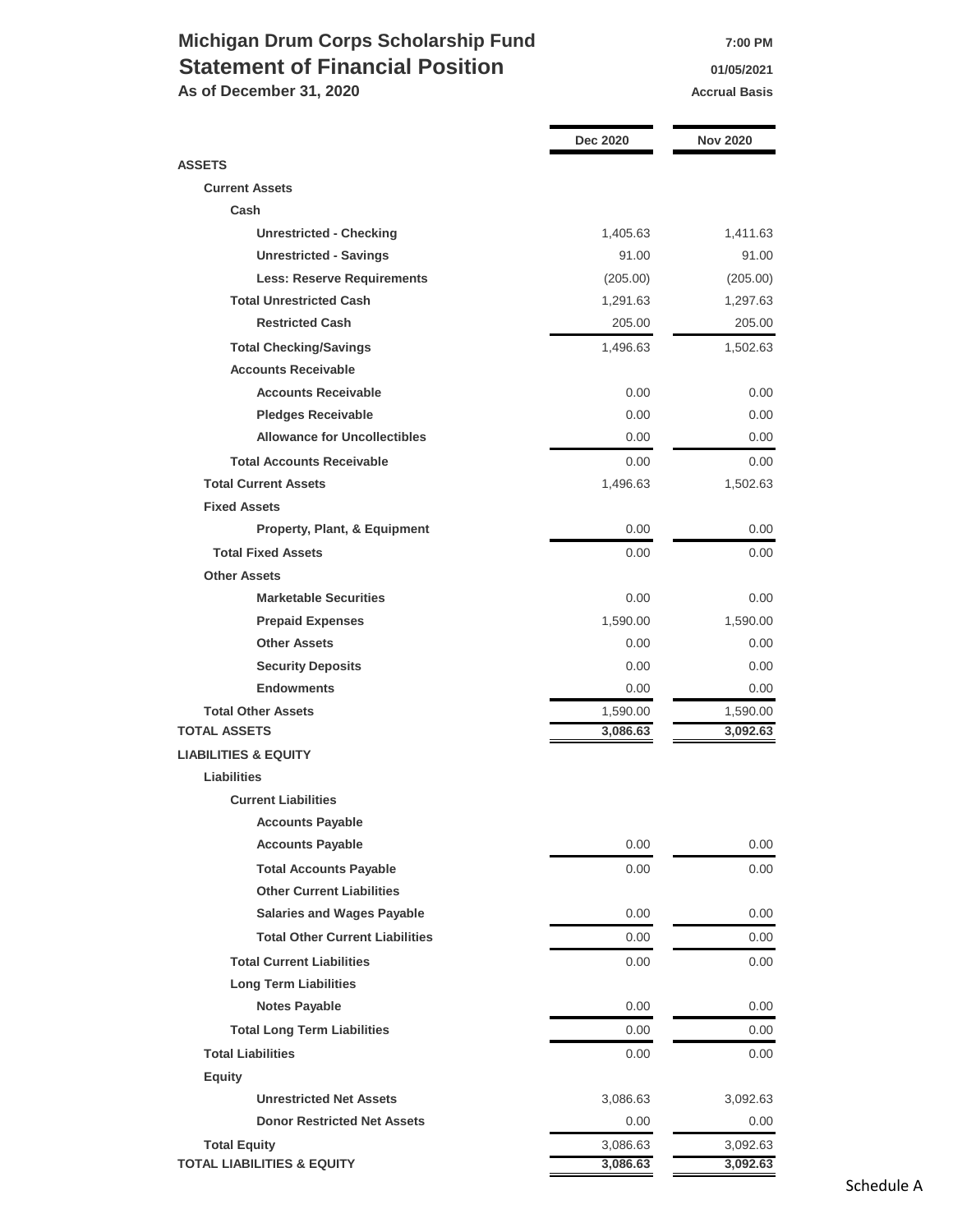# **Michigan Drum Corps Scholarship Fund 7:00 PM Statement of Financial Position 11/05/2021**

As of December 31, 2020 **Accrual Basis Accrual Basis** 

|                                        | Dec 2020 | <b>Nov 2020</b> |
|----------------------------------------|----------|-----------------|
| <b>ASSETS</b>                          |          |                 |
| <b>Current Assets</b>                  |          |                 |
| Cash                                   |          |                 |
| <b>Unrestricted - Checking</b>         | 1,405.63 | 1,411.63        |
| <b>Unrestricted - Savings</b>          | 91.00    | 91.00           |
| <b>Less: Reserve Requirements</b>      | (205.00) | (205.00)        |
| <b>Total Unrestricted Cash</b>         | 1,291.63 | 1,297.63        |
| <b>Restricted Cash</b>                 | 205.00   | 205.00          |
| <b>Total Checking/Savings</b>          | 1,496.63 | 1,502.63        |
| <b>Accounts Receivable</b>             |          |                 |
| <b>Accounts Receivable</b>             | 0.00     | 0.00            |
| <b>Pledges Receivable</b>              | 0.00     | 0.00            |
| <b>Allowance for Uncollectibles</b>    | 0.00     | 0.00            |
| <b>Total Accounts Receivable</b>       | 0.00     | 0.00            |
| <b>Total Current Assets</b>            | 1,496.63 | 1,502.63        |
| <b>Fixed Assets</b>                    |          |                 |
| Property, Plant, & Equipment           | 0.00     | 0.00            |
| <b>Total Fixed Assets</b>              | 0.00     | $0.00\,$        |
| <b>Other Assets</b>                    |          |                 |
| <b>Marketable Securities</b>           | 0.00     | 0.00            |
| <b>Prepaid Expenses</b>                | 1,590.00 | 1,590.00        |
| <b>Other Assets</b>                    | 0.00     | 0.00            |
| <b>Security Deposits</b>               | 0.00     | 0.00            |
| <b>Endowments</b>                      | 0.00     | 0.00            |
| <b>Total Other Assets</b>              | 1,590.00 | 1,590.00        |
| <b>TOTAL ASSETS</b>                    | 3,086.63 | 3,092.63        |
| <b>LIABILITIES &amp; EQUITY</b>        |          |                 |
| <b>Liabilities</b>                     |          |                 |
| <b>Current Liabilities</b>             |          |                 |
| <b>Accounts Payable</b>                |          |                 |
| <b>Accounts Payable</b>                | 0.00     | 0.00            |
| <b>Total Accounts Payable</b>          | 0.00     | 0.00            |
| <b>Other Current Liabilities</b>       |          |                 |
| <b>Salaries and Wages Payable</b>      | 0.00     | 0.00            |
| <b>Total Other Current Liabilities</b> | 0.00     | 0.00            |
| <b>Total Current Liabilities</b>       | 0.00     | 0.00            |
| <b>Long Term Liabilities</b>           |          |                 |
| <b>Notes Payable</b>                   | 0.00     | $0.00\,$        |
| <b>Total Long Term Liabilities</b>     | 0.00     | 0.00            |
| <b>Total Liabilities</b>               | 0.00     | 0.00            |
| <b>Equity</b>                          |          |                 |
| <b>Unrestricted Net Assets</b>         | 3,086.63 | 3,092.63        |
| <b>Donor Restricted Net Assets</b>     | 0.00     | 0.00            |
| <b>Total Equity</b>                    | 3,086.63 | 3,092.63        |
| <b>TOTAL LIABILITIES &amp; EQUITY</b>  | 3,086.63 | 3,092.63        |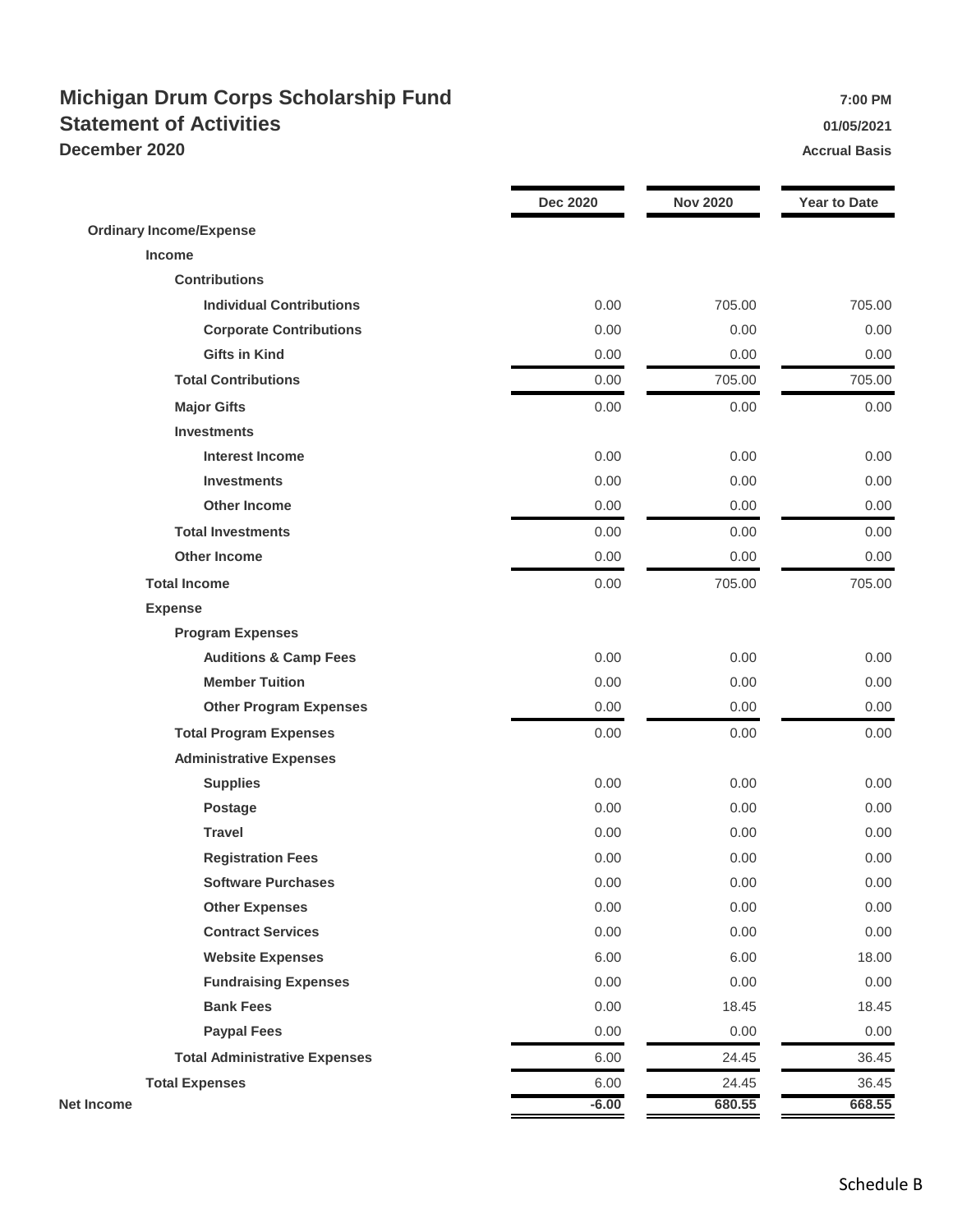## **Michigan Drum Corps Scholarship Fund** *PHOTER SCHOLARSHIP FUND 7:00 PM* **Statement of Activities 01/05/2021 December 2020 Accrual Basis Accrual Basis**

|                                      | <b>Dec 2020</b> | <b>Nov 2020</b> | <b>Year to Date</b> |
|--------------------------------------|-----------------|-----------------|---------------------|
| <b>Ordinary Income/Expense</b>       |                 |                 |                     |
| <b>Income</b>                        |                 |                 |                     |
| <b>Contributions</b>                 |                 |                 |                     |
| <b>Individual Contributions</b>      | 0.00            | 705.00          | 705.00              |
| <b>Corporate Contributions</b>       | 0.00            | 0.00            | 0.00                |
| <b>Gifts in Kind</b>                 | 0.00            | 0.00            | 0.00                |
| <b>Total Contributions</b>           | 0.00            | 705.00          | 705.00              |
| <b>Major Gifts</b>                   | 0.00            | 0.00            | 0.00                |
| <b>Investments</b>                   |                 |                 |                     |
| <b>Interest Income</b>               | 0.00            | 0.00            | 0.00                |
| <b>Investments</b>                   | 0.00            | 0.00            | 0.00                |
| <b>Other Income</b>                  | 0.00            | 0.00            | 0.00                |
| <b>Total Investments</b>             | 0.00            | 0.00            | 0.00                |
| <b>Other Income</b>                  | 0.00            | 0.00            | 0.00                |
| <b>Total Income</b>                  | 0.00            | 705.00          | 705.00              |
| <b>Expense</b>                       |                 |                 |                     |
| <b>Program Expenses</b>              |                 |                 |                     |
| <b>Auditions &amp; Camp Fees</b>     | 0.00            | 0.00            | 0.00                |
| <b>Member Tuition</b>                | 0.00            | 0.00            | 0.00                |
| <b>Other Program Expenses</b>        | 0.00            | 0.00            | 0.00                |
| <b>Total Program Expenses</b>        | 0.00            | 0.00            | 0.00                |
| <b>Administrative Expenses</b>       |                 |                 |                     |
| <b>Supplies</b>                      | 0.00            | 0.00            | 0.00                |
| <b>Postage</b>                       | 0.00            | 0.00            | 0.00                |
| <b>Travel</b>                        | 0.00            | 0.00            | 0.00                |
| <b>Registration Fees</b>             | 0.00            | 0.00            | 0.00                |
| <b>Software Purchases</b>            | 0.00            | 0.00            | 0.00                |
| <b>Other Expenses</b>                | 0.00            | 0.00            | 0.00                |
| <b>Contract Services</b>             | 0.00            | 0.00            | 0.00                |
| <b>Website Expenses</b>              | 6.00            | 6.00            | 18.00               |
| <b>Fundraising Expenses</b>          | 0.00            | 0.00            | 0.00                |
| <b>Bank Fees</b>                     | 0.00            | 18.45           | 18.45               |
| <b>Paypal Fees</b>                   | 0.00            | 0.00            | 0.00                |
| <b>Total Administrative Expenses</b> | 6.00            | 24.45           | 36.45               |
| <b>Total Expenses</b>                | 6.00            | 24.45           | 36.45               |
| <b>Net Income</b>                    | $-6.00$         | 680.55          | 668.55              |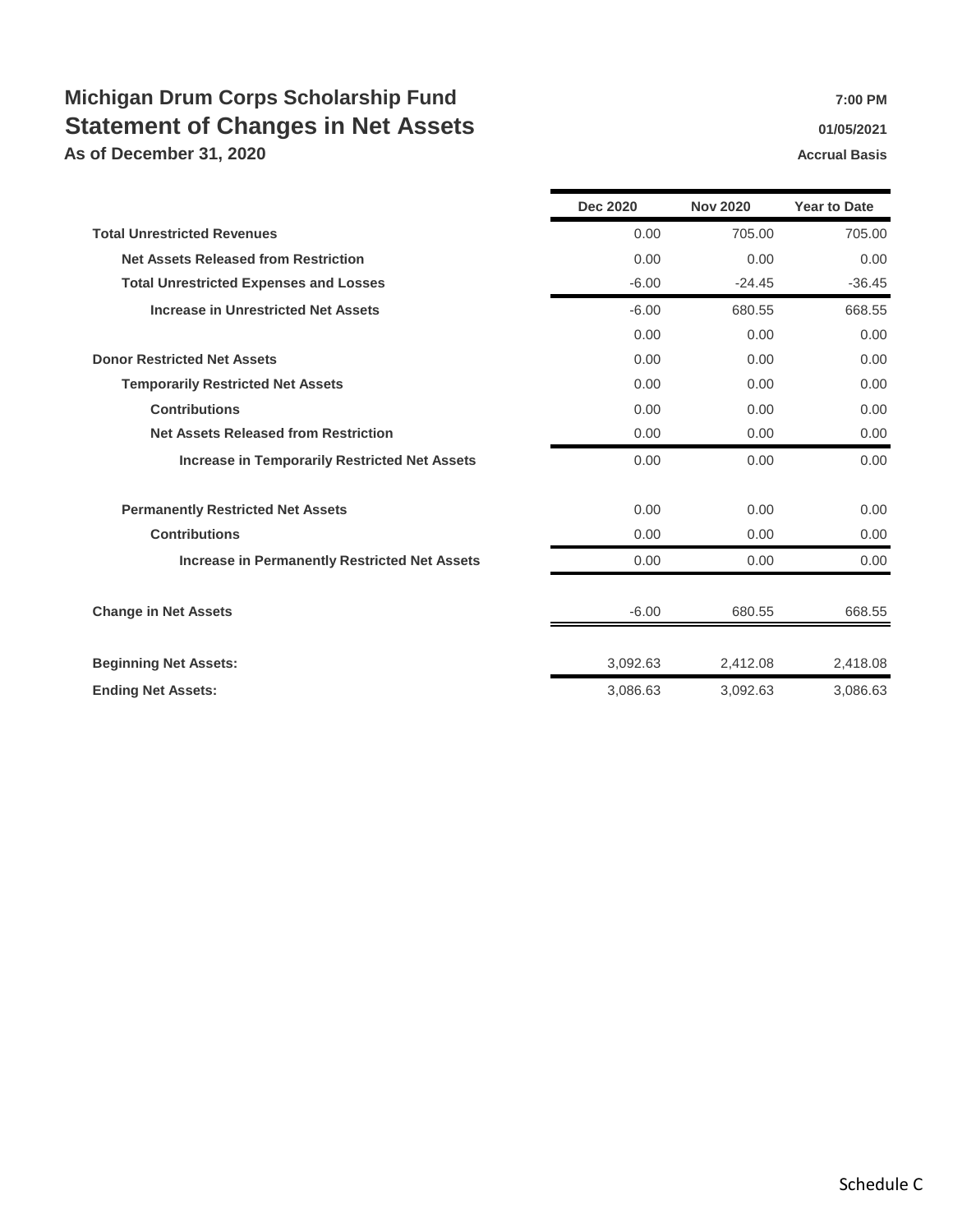# **Michigan Drum Corps Scholarship Fund 7:00 PM** 7:00 PM **Statement of Changes in Net Assets Changes 10 1/05/2021**

**As of December 31, 2020 Accrual Basis Accrual Basis** 

|                                                      | <b>Dec 2020</b> | <b>Nov 2020</b> | <b>Year to Date</b> |
|------------------------------------------------------|-----------------|-----------------|---------------------|
| <b>Total Unrestricted Revenues</b>                   | 0.00            | 705.00          | 705.00              |
| <b>Net Assets Released from Restriction</b>          | 0.00            | 0.00            | 0.00                |
| <b>Total Unrestricted Expenses and Losses</b>        | $-6.00$         | $-24.45$        | $-36.45$            |
| <b>Increase in Unrestricted Net Assets</b>           | $-6.00$         | 680.55          | 668.55              |
|                                                      | 0.00            | 0.00            | 0.00                |
| <b>Donor Restricted Net Assets</b>                   | 0.00            | 0.00            | 0.00                |
| <b>Temporarily Restricted Net Assets</b>             | 0.00            | 0.00            | 0.00                |
| <b>Contributions</b>                                 | 0.00            | 0.00            | 0.00                |
| <b>Net Assets Released from Restriction</b>          | 0.00            | 0.00            | 0.00                |
| <b>Increase in Temporarily Restricted Net Assets</b> | 0.00            | 0.00            | 0.00                |
| <b>Permanently Restricted Net Assets</b>             | 0.00            | 0.00            | 0.00                |
| <b>Contributions</b>                                 | 0.00            | 0.00            | 0.00                |
| <b>Increase in Permanently Restricted Net Assets</b> | 0.00            | 0.00            | 0.00                |
| <b>Change in Net Assets</b>                          | $-6.00$         | 680.55          | 668.55              |
| <b>Beginning Net Assets:</b>                         | 3,092.63        | 2,412.08        | 2,418.08            |
| <b>Ending Net Assets:</b>                            | 3,086.63        | 3,092.63        | 3,086.63            |